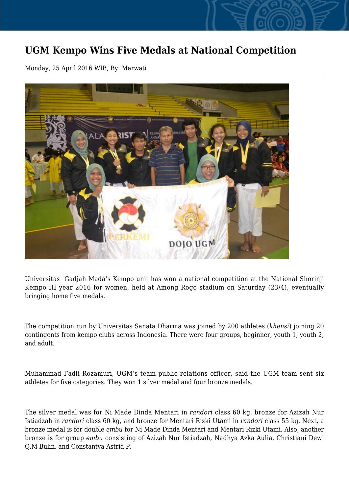## **UGM Kempo Wins Five Medals at National Competition**

Monday, 25 April 2016 WIB, By: Marwati



Universitas Gadjah Mada's Kempo unit has won a national competition at the National Shorinji Kempo III year 2016 for women, held at Among Rogo stadium on Saturday (23/4), eventually bringing home five medals.

The competition run by Universitas Sanata Dharma was joined by 200 athletes (*khensi*) joining 20 contingents from kempo clubs across Indonesia. There were four groups, beginner, youth 1, youth 2, and adult.

Muhammad Fadli Rozamuri, UGM's team public relations officer, said the UGM team sent six athletes for five categories. They won 1 silver medal and four bronze medals.

The silver medal was for Ni Made Dinda Mentari in *randori* class 60 kg, bronze for Azizah Nur Istiadzah in *randori* class 60 kg, and bronze for Mentari Rizki Utami in *randori* class 55 kg. Next, a bronze medal is for double *embu* for Ni Made Dinda Mentari and Mentari Rizki Utami. Also, another bronze is for group *embu* consisting of Azizah Nur Istiadzah, Nadhya Azka Aulia, Christiani Dewi Q.M Bulin, and Constantya Astrid P.